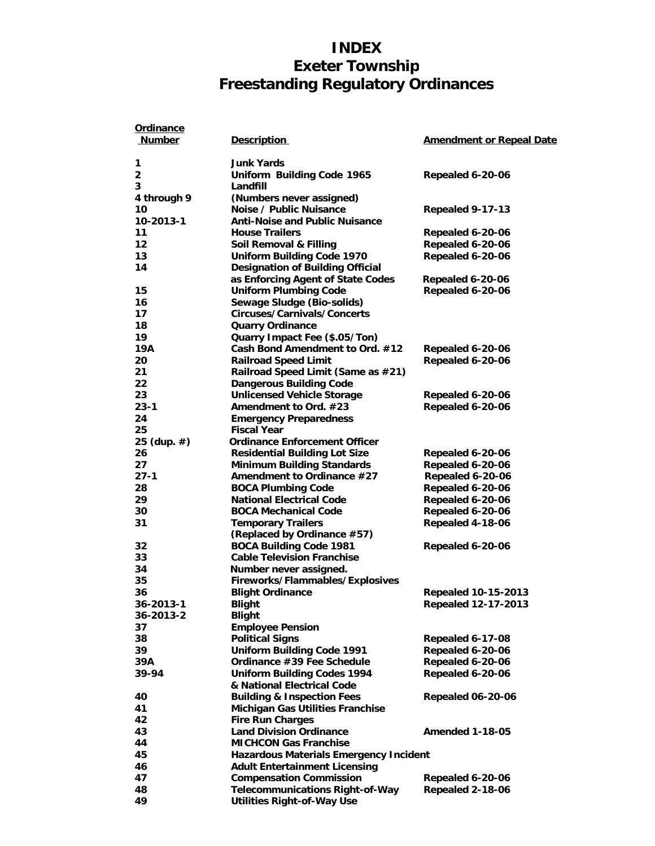## **INDEX Exeter Township Freestanding Regulatory Ordinances**

| <b>Ordinance</b><br><b>Number</b> | <b>Description</b>                                                  | <b>Amendment or Repeal Date</b>                          |
|-----------------------------------|---------------------------------------------------------------------|----------------------------------------------------------|
| 1                                 | <b>Junk Yards</b>                                                   |                                                          |
| 2                                 | Uniform Building Code 1965                                          | Repealed 6-20-06                                         |
| 3                                 | Landfill                                                            |                                                          |
| 4 through 9                       | (Numbers never assigned)                                            |                                                          |
| 10                                | Noise / Public Nuisance                                             | Repealed 9-17-13                                         |
| 10-2013-1                         | <b>Anti-Noise and Public Nuisance</b>                               |                                                          |
| 11                                | <b>House Trailers</b>                                               | Repealed 6-20-06                                         |
| 12                                | Soil Removal & Filling                                              | Repealed 6-20-06                                         |
| 13                                | Uniform Building Code 1970                                          | Repealed 6-20-06                                         |
| 14                                | <b>Designation of Building Official</b>                             |                                                          |
|                                   | as Enforcing Agent of State Codes                                   | Repealed 6-20-06                                         |
| 15                                | <b>Uniform Plumbing Code</b>                                        | Repealed 6-20-06                                         |
| 16                                | Sewage Sludge (Bio-solids)                                          |                                                          |
| 17                                | Circuses/Carnivals/Concerts                                         |                                                          |
| 18                                | <b>Quarry Ordinance</b>                                             |                                                          |
| 19                                | Quarry Impact Fee (\$.05/Ton)                                       |                                                          |
| 19A                               | Cash Bond Amendment to Ord. #12                                     | Repealed 6-20-06                                         |
| 20                                | <b>Railroad Speed Limit</b>                                         | Repealed 6-20-06                                         |
| 21                                | Railroad Speed Limit (Same as #21)                                  |                                                          |
| 22                                | <b>Dangerous Building Code</b>                                      |                                                          |
| 23                                | <b>Unlicensed Vehicle Storage</b>                                   | Repealed 6-20-06                                         |
| $23 - 1$                          | Amendment to Ord. #23                                               | Repealed 6-20-06                                         |
| 24                                | <b>Emergency Preparedness</b>                                       |                                                          |
| 25                                | <b>Fiscal Year</b>                                                  |                                                          |
| 25 (dup. #)                       | <b>Ordinance Enforcement Officer</b>                                |                                                          |
| 26                                | <b>Residential Building Lot Size</b>                                | Repealed 6-20-06                                         |
| 27                                | <b>Minimum Building Standards</b>                                   | Repealed 6-20-06                                         |
| $27 - 1$                          | Amendment to Ordinance #27                                          | Repealed 6-20-06                                         |
| 28                                | <b>BOCA Plumbing Code</b>                                           | Repealed 6-20-06                                         |
| 29                                | <b>National Electrical Code</b>                                     | Repealed 6-20-06                                         |
| 30                                | <b>BOCA Mechanical Code</b>                                         | Repealed 6-20-06                                         |
| 31                                | <b>Temporary Trailers</b>                                           | Repealed 4-18-06                                         |
|                                   | (Replaced by Ordinance #57)                                         |                                                          |
| 32                                | <b>BOCA Building Code 1981</b><br><b>Cable Television Franchise</b> | Repealed 6-20-06                                         |
| 33<br>34                          |                                                                     |                                                          |
| 35                                | Number never assigned.                                              |                                                          |
| 36                                | Fireworks/Flammables/Explosives                                     |                                                          |
| 36-2013-1                         | <b>Blight Ordinance</b><br>Blight                                   | <b>Repealed 10-15-2013</b><br><b>Repealed 12-17-2013</b> |
| 36-2013-2                         | <b>Blight</b>                                                       |                                                          |
| 37                                | <b>Employee Pension</b>                                             |                                                          |
| 38                                | <b>Political Signs</b>                                              | Repealed 6-17-08                                         |
| 39                                | <b>Uniform Building Code 1991</b>                                   | Repealed 6-20-06                                         |
| 39A                               | Ordinance #39 Fee Schedule                                          | Repealed 6-20-06                                         |
| 39-94                             | <b>Uniform Building Codes 1994</b>                                  | Repealed 6-20-06                                         |
|                                   | & National Electrical Code                                          |                                                          |
| 40                                | <b>Building &amp; Inspection Fees</b>                               | <b>Repealed 06-20-06</b>                                 |
| 41                                | Michigan Gas Utilities Franchise                                    |                                                          |
| 42                                | <b>Fire Run Charges</b>                                             |                                                          |
| 43                                | <b>Land Division Ordinance</b>                                      | <b>Amended 1-18-05</b>                                   |
| 44                                | <b>MICHCON Gas Franchise</b>                                        |                                                          |
| 45                                | Hazardous Materials Emergency Incident                              |                                                          |
| 46                                | <b>Adult Entertainment Licensing</b>                                |                                                          |
| 47                                | <b>Compensation Commission</b>                                      | Repealed 6-20-06                                         |
| 48                                | <b>Telecommunications Right-of-Way</b>                              | Repealed 2-18-06                                         |
| 49                                | <b>Utilities Right-of-Way Use</b>                                   |                                                          |